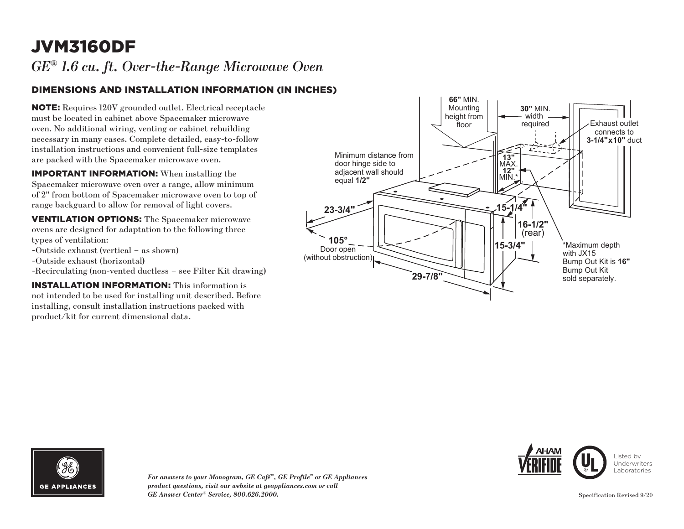## JVM3160DF

*GE® 1.6 cu. ft. Over-the-Range Microwave Oven*

### DIMENSIONS AND INSTALLATION INFORMATION (IN INCHES)

NOTE: Requires 120V grounded outlet. Electrical receptacle must be located in cabinet above Spacemaker microwave oven. No additional wiring, venting or cabinet rebuilding necessary in many cases. Complete detailed, easy-to-follow installation instructions and convenient full-size templates are packed with the Spacemaker microwave oven.

IMPORTANT INFORMATION: When installing the Spacemaker microwave oven over a range, allow minimum of 2" from bottom of Spacemaker microwave oven to top of range backguard to allow for removal of light covers.

VENTILATION OPTIONS: The Spacemaker microwave ovens are designed for adaptation to the following three types of ventilation:

- -Outside exhaust (vertical as shown)
- -Outside exhaust (horizontal)
- -Recirculating (non-vented ductless see Filter Kit drawing)

INSTALLATION INFORMATION: This information is not intended to be used for installing unit described. Before installing, consult installation instructions packed with product/kit for current dimensional data.









Listed by Underwriters Laboratories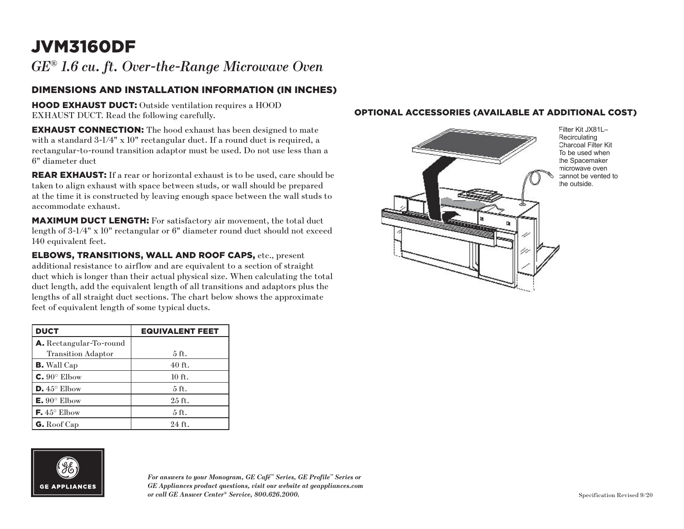# JVM3160DF

*GE® 1.6 cu. ft. Over-the-Range Microwave Oven*

### DIMENSIONS AND INSTALLATION INFORMATION (IN INCHES)

HOOD EXHAUST DUCT: Outside ventilation requires a HOOD EXHAUST DUCT. Read the following carefully.

EXHAUST CONNECTION: The hood exhaust has been designed to mate with a standard 3-1/4" x 10" rectangular duct. If a round duct is required, a rectangular-to-round transition adaptor must be used. Do not use less than a 6" diameter duct

REAR EXHAUST: If a rear or horizontal exhaust is to be used, care should be taken to align exhaust with space between studs, or wall should be prepared at the time it is constructed by leaving enough space between the wall studs to accommodate exhaust.

MAXIMUM DUCT LENGTH: For satisfactory air movement, the total duct length of 3-1/4" x 10" rectangular or 6" diameter round duct should not exceed 140 equivalent feet.

ELBOWS, TRANSITIONS, WALL AND ROOF CAPS, etc., present additional resistance to airflow and are equivalent to a section of straight duct which is longer than their actual physical size. When calculating the total duct length, add the equivalent length of all transitions and adaptors plus the lengths of all straight duct sections. The chart below shows the approximate feet of equivalent length of some typical ducts.

| <b>DUCT</b>                    | <b>EQUIVALENT FEET</b> |
|--------------------------------|------------------------|
| <b>A.</b> Rectangular-To-round |                        |
| <b>Transition Adaptor</b>      | $5$ ft.                |
| <b>B.</b> Wall Cap             | $40$ ft.               |
| $C. 90^\circ$ Elbow            | $10$ ft.               |
| $D.45^{\circ}$ Elbow           | $5$ ft.                |
| $E. 90^{\circ}$ Elbow          | $25$ ft.               |
| <b>F.</b> $45^{\circ}$ Elbow   | $5$ ft.                |
| $G.$ Roof Cap                  | $24$ ft.               |



*For answers to your Monogram, GE Café™ Series, GE Profile™ Series or GE Appliances product questions, visit our website at geappliances.com or call GE Answer Center® Service, 800.626.2000.*

#### OPTIONAL ACCESSORIES (AVAILABLE AT ADDITIONAL COST)